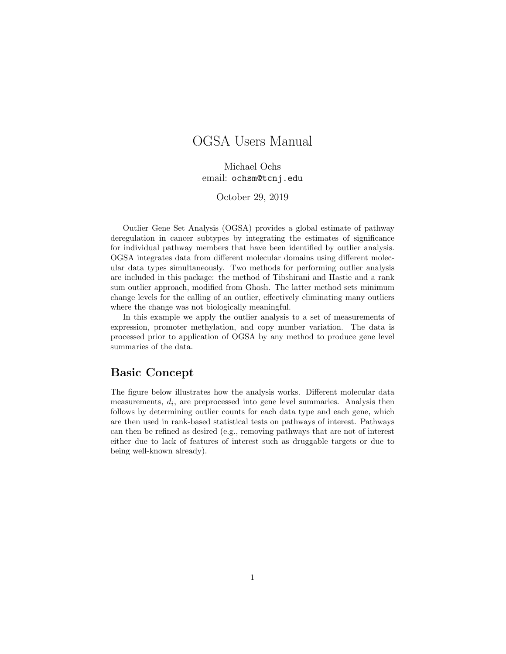## OGSA Users Manual

Michael Ochs email: ochsm@tcnj.edu

October 29, 2019

Outlier Gene Set Analysis (OGSA) provides a global estimate of pathway deregulation in cancer subtypes by integrating the estimates of significance for individual pathway members that have been identified by outlier analysis. OGSA integrates data from different molecular domains using different molecular data types simultaneously. Two methods for performing outlier analysis are included in this package: the method of Tibshirani and Hastie and a rank sum outlier approach, modified from Ghosh. The latter method sets minimum change levels for the calling of an outlier, effectively eliminating many outliers where the change was not biologically meaningful.

In this example we apply the outlier analysis to a set of measurements of expression, promoter methylation, and copy number variation. The data is processed prior to application of OGSA by any method to produce gene level summaries of the data.

## Basic Concept

The figure below illustrates how the analysis works. Different molecular data measurements,  $d_i$ , are preprocessed into gene level summaries. Analysis then follows by determining outlier counts for each data type and each gene, which are then used in rank-based statistical tests on pathways of interest. Pathways can then be refined as desired (e.g., removing pathways that are not of interest either due to lack of features of interest such as druggable targets or due to being well-known already).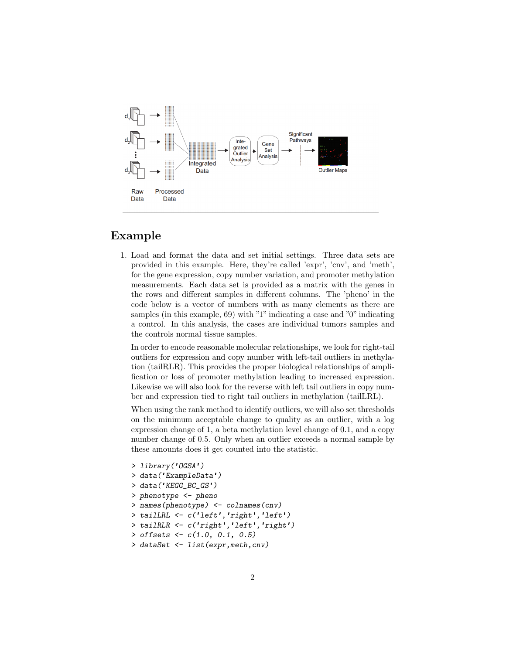

## Example

1. Load and format the data and set initial settings. Three data sets are provided in this example. Here, they're called 'expr', 'cnv', and 'meth', for the gene expression, copy number variation, and promoter methylation measurements. Each data set is provided as a matrix with the genes in the rows and different samples in different columns. The 'pheno' in the code below is a vector of numbers with as many elements as there are samples (in this example, 69) with "1" indicating a case and "0" indicating a control. In this analysis, the cases are individual tumors samples and the controls normal tissue samples.

In order to encode reasonable molecular relationships, we look for right-tail outliers for expression and copy number with left-tail outliers in methylation (tailRLR). This provides the proper biological relationships of amplification or loss of promoter methylation leading to increased expression. Likewise we will also look for the reverse with left tail outliers in copy number and expression tied to right tail outliers in methylation (tailLRL).

When using the rank method to identify outliers, we will also set thresholds on the minimum acceptable change to quality as an outlier, with a log expression change of 1, a beta methylation level change of 0.1, and a copy number change of 0.5. Only when an outlier exceeds a normal sample by these amounts does it get counted into the statistic.

```
> library('OGSA')
> data('ExampleData')
> data('KEGG_BC_GS')
> phenotype <- pheno
> names(phenotype) <- colnames(cnv)
> tailLRL <- c('left','right','left')
> tailRLR <- c('right','left','right')
> offsets <- c(1.0, 0.1, 0.5)
> dataSet <- list(expr,meth,cnv)
```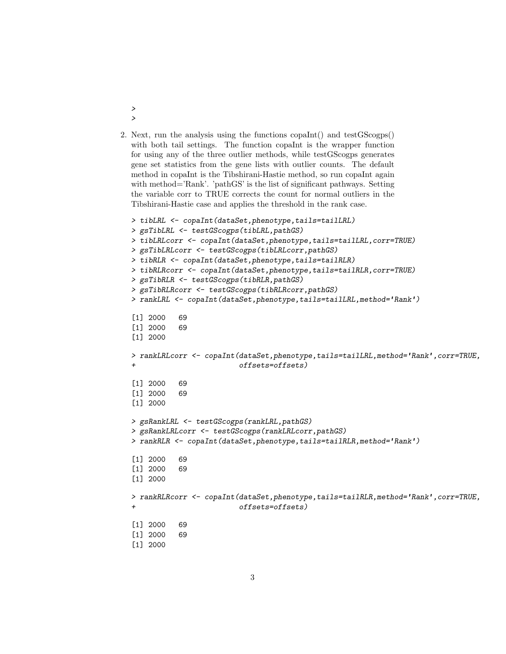2. Next, run the analysis using the functions copaInt() and testGScogps() with both tail settings. The function copaInt is the wrapper function for using any of the three outlier methods, while testGScogps generates gene set statistics from the gene lists with outlier counts. The default method in copaInt is the Tibshirani-Hastie method, so run copaInt again with method='Rank'. 'pathGS' is the list of significant pathways. Setting the variable corr to TRUE corrects the count for normal outliers in the Tibshirani-Hastie case and applies the threshold in the rank case.

> >

```
> tibLRL <- copaInt(dataSet,phenotype,tails=tailLRL)
> gsTibLRL <- testGScogps(tibLRL,pathGS)
> tibLRLcorr <- copaInt(dataSet,phenotype,tails=tailLRL,corr=TRUE)
> gsTibLRLcorr <- testGScogps(tibLRLcorr,pathGS)
> tibRLR <- copaInt(dataSet,phenotype,tails=tailRLR)
> tibRLRcorr <- copaInt(dataSet,phenotype,tails=tailRLR,corr=TRUE)
> gsTibRLR <- testGScogps(tibRLR,pathGS)
> gsTibRLRcorr <- testGScogps(tibRLRcorr,pathGS)
> rankLRL <- copaInt(dataSet,phenotype,tails=tailLRL,method='Rank')
[1] 2000 69
[1] 2000 69
[1] 2000
> rankLRLcorr <- copaInt(dataSet,phenotype,tails=tailLRL,method='Rank',corr=TRUE,
+ offsets=offsets)
[1] 2000 69
[1] 2000 69
[1] 2000
> gsRankLRL <- testGScogps(rankLRL,pathGS)
> gsRankLRLcorr <- testGScogps(rankLRLcorr,pathGS)
> rankRLR <- copaInt(dataSet,phenotype,tails=tailRLR,method='Rank')
[1] 2000 69
[1] 2000 69
[1] 2000
> rankRLRcorr <- copaInt(dataSet,phenotype,tails=tailRLR,method='Rank',corr=TRUE,
+ offsets=offsets)
[1] 2000 69
[1] 2000 69
[1] 2000
```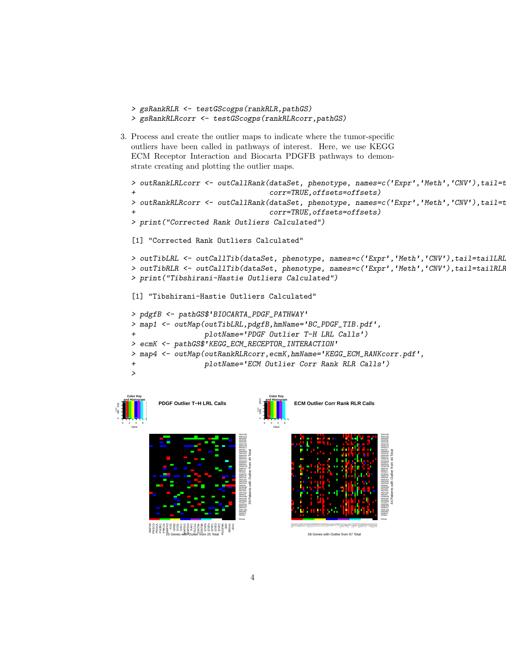- > gsRankRLR <- testGScogps(rankRLR,pathGS)
- > gsRankRLRcorr <- testGScogps(rankRLRcorr,pathGS)
- 3. Process and create the outlier maps to indicate where the tumor-specific outliers have been called in pathways of interest. Here, we use KEGG ECM Receptor Interaction and Biocarta PDGFB pathways to demonstrate creating and plotting the outlier maps.

```
> outRankLRLcorr <- outCallRank(dataSet, phenotype, names=c('Expr','Meth','CNV'),tail=t
+ corr=TRUE,offsets=offsets)
> outRankRLRcorr <- outCallRank(dataSet, phenotype, names=c('Expr','Meth','CNV'),tail=t
                                corr=TRUE, offsets=offsets)
> print("Corrected Rank Outliers Calculated")
[1] "Corrected Rank Outliers Calculated"
> outTibLRL <- outCallTib(dataSet, phenotype, names=c('Expr','Meth','CNV'),tail=tailLRL)
> outTibRLR <- outCallTib(dataSet, phenotype, names=c('Expr','Meth','CNV'),tail=tailRLR)
> print("Tibshirani-Hastie Outliers Calculated")
[1] "Tibshirani-Hastie Outliers Calculated"
> pdgfB <- pathGS$'BIOCARTA_PDGF_PATHWAY'
> map1 <- outMap(outTibLRL,pdgfB,hmName='BC_PDGF_TIB.pdf',
                 + plotName='PDGF Outlier T-H LRL Calls')
> ecmK <- pathGS$'KEGG_ECM_RECEPTOR_INTERACTION'
> map4 <- outMap(outRankRLRcorr,ecmK,hmName='KEGG_ECM_RANKcorr.pdf',
+ plotName='ECM Outlier Corr Rank RLR Calls')
>
Color Key
                                Color Key
```
44 Patients with Outlier from 44 Total



400 800

Count